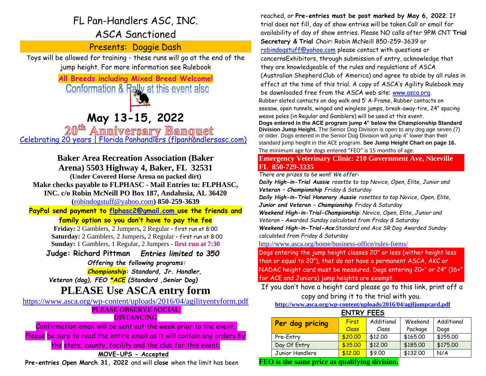# FL Pan-Handlers ASC, INC.

# ASCA Sanctioned

Presents: Doggie Dash

Toys will be allowed for training - these runs will go at the end of the jump height. For more information see Rulebook

> **All Breeds including Mixed Breed Welcome!** Conformation & Rally at this event also

> > **May 13-15, 2022**

20<sup>th</sup> Ammiversary Banquet [Celebrating 20 years | Florida Panhandlers \(flpanhandlersasc.com\)](https://www.flpanhandlersasc.com/celebrating-20-years)

# **Baker Area Recreation Association (Baker**

**Arena) 5503 Highway 4, Baker, FL 32531**

**(Under Covered Horse Arena on packed dirt)**

**Make checks payable to FLPHASC - Mail Entries to: FLPHASC,** 

**INC. c/o Robin McNeill PO Box 187, Andalusia, AL 3642[0](mailto:robindogstuff@yahoo.com) (**[robindogstuff@yahoo.com](mailto:robindogstuff@yahoo.com)**) 850-259-3639**

**PayPal send payment to [flphasc2@gmail.com u](mailto:flphasc2@gmail.com)se the friends and family option so you don't have to pay the fee**

> **Friday:** 2 Gamblers, 2 Jumpers**,** 2 Regular **-** first run at 8:00 **Saturday:** 2 Gamblers, 2 Jumpers**,** 2 Regular - first run at 8:00 **Sunday:** 1 Gamblers, 1 Regular, 2 Jumpers - **first run at 7:30**

**Judge: Richard Pittman** *Entries limited to 350 Offering the following programs:*

*Championship: Standard, Jr. Handler,* 

*Veteran (dog), FEO \*ACE (Standard ,Senior Dog)*

# **PLEASE Use ASCA entry form**

<https://www.asca.org/wp-content/uploads/2016/04/agilityentyform.pdf>

## **PLEASE OBSERVE SOCIAL DISTANCING**

Confirmation email will be sent out the week prior to the event. Please be sure to read the entire email as it will contain any orders by the state, county, facility and the club for this event.

## **MOVE-UPS - Accepted**

**Pre-entries Open March 31, 2022** and will **close** when the limit has been

reached, or **Pre-entries must be post marked by May 6, 2022**. If trial does not fill, day of show entries will be taken.Call or email for availability of day of show entries. Please NO calls after 9PM CNT **Trial Secretary & Trial** Chair: Robin McNeill 850-259-3639 or [robindogstuff@yahoo.com](mailto:robindogstuff@yahoo.com) please contact with questions or concernsExhibitors, through submission of entry, acknowledge that they are knowledgeable of the rules and regulations of ASCA (Australian ShepherdClub of America) and agree to abide by all rules in effect at the time of this trial. A copy of ASCA's Agility Rulebook may be downloaded free from the ASCA web site: [www.asca.org.](http://www.asca.com/) Rubber slated contacts on dog walk and 5' A-Frame, Rubber contacts on seesaw, open tunnels, winged and wingless jumps, break-away-tire, 24" spacing weave poles (in Regular and Gamblers) will be used at this event. **Dogs entered in the ACE program jump 4" below the Championship Standard Division Jump Height.** The Senior Dog Division is open to any dog age seven (7) or older. Dogs entered in the Senior Dog Division will jump 4" lower than their standard jump height in the ACE program. **See Jump Height Chart on page 16.**  The minimum age for dogs entered "FEO" is 15 months of age.

## **Emergency Veterinary Clinic: 210 Government Ave, Niceville FL 850-729-3335**

*There are prizes to be won!! We offer:*

*Daily High-in-Trial Aussie rosette to top Novice, Open, Elite, Junior and Veteran – Championship Friday & Saturday*

*Daily High-in-Trial Honorary Aussie rosettes to top Novice, Open, Elite, Junior and Veteran – Championship Friday & Saturday*

*Weekend High-in-Trial-Championship: Novice, Open, Elite, Junior and Veteran – Awarded Sunday calculated from Friday & Saturday Weekend High-in-Trial-AceStandard and Ace SR Dog Awarded Sunday* 

*calculated from Friday & Saturday*

<http://www.asca.org/home/business-office/rules-forms/>

Dogs entering the jump height classes 20" or less (wither height less than or equal to 20"), that do not have a permanent ASCA, AKC or NADAC height card must be measured. Dogs entering 20+'' or 24" (16+" for ACE and Juniors) jump heights are exempt.

If you don't have a height card please go to this link, print off a copy and bring it to the trial with you.

**<http://www.asca.org/wp-content/uploads/2016/04/agiljumpcard.pdf>**

| <b>ENTRY FEES</b>                                                          |                       |                     |                    |                    |  |  |  |  |  |
|----------------------------------------------------------------------------|-----------------------|---------------------|--------------------|--------------------|--|--|--|--|--|
| Per dog pricing                                                            | <b>First</b><br>Class | Additional<br>Class | Weekend<br>Package | Additional<br>Dogs |  |  |  |  |  |
| Pre-Entry                                                                  | \$20.00               | \$12.00             | \$165.00           | \$155.00           |  |  |  |  |  |
| Day Of Entry                                                               | \$35.00               | \$12.00             | \$185.00           | \$175.00           |  |  |  |  |  |
| Junior Handlers                                                            | \$12.00               | \$9.00              | \$132.00           | N/A                |  |  |  |  |  |
| $\Omega$ to all a second contract and a second state $\Omega$ . The second |                       |                     |                    |                    |  |  |  |  |  |

**FEO is the same price as qualifying division.**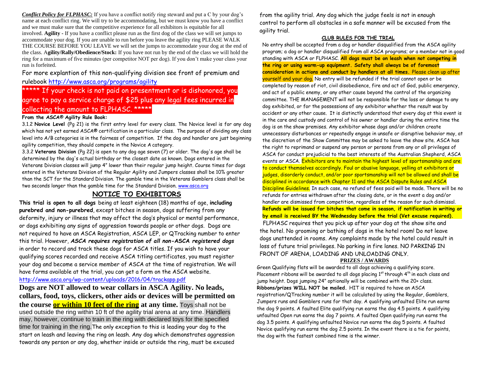*Conflict Policy for FLPHASC:* If you have a conflict notify ring steward and put a C by your dog's name at each conflict ring. We will try to be accommodating, but we must know you have a conflict and we must make sure that the competitive experience for all exhibitors is equitable for all involved. **Agility -** If you have a conflict please run as the first dog of the class we will set jumps to accommodate your dog. If you are unable to run before you leave the agility ring PLEASE WALK THE COURSE BEFORE YOU LEAVE we will set the jumps to accommodate your dog at the end of the class. A**gility/Rally/Obedience/Stock:** If you have not run by the end of the class we will hold the ring for a maximum of five minutes (per competitor NOT per dog). If you don't make your class your run is forfeited.

For more explantion of this non-qualifying division see front of premium and rulebook<http://www.asca.org/programs/agility>

\*\*\*\*\* If your check is not paid on presentment or is dishonored, you agree to pay a service charge of \$25 plus any legal fees incurred in collecting the amount to FLPHASC. \*\*\*\*\*

#### **From the ASCA**® **Agility Rule Book:**

3.1.2 **Novice Level** (Pg 21) is the first entry level for every class. The Novice level is for any dog which has not yet earned ASCA® certification in a particular class. The purpose of dividing any class level into A/B categories is in the fairness of competition. If the dog and handler are just beginning agility competition, they should compete in the Novice A category.

3.3.2 **Veterans Division** (Pg 22) is open to any dog age seven (7) or older. The dog's age shall be determined by the dog's actual birthday or the closest date as known. Dogs entered in the Veterans Division classes will jump 4" lower than their regular jump height. Course times for dogs entered in the Veterans Division of the Regular Agility and Jumpers classes shall be 10% greater than the SCT for the Standard Division. The gamble time in the Veterans Gamblers class shall be two seconds longer than the gamble time for the Standard Division. [www.asca.org](http://www.asca.org/)

### **NOTICE TO EXHIBITORS**

**This trial is open to all dogs** being at least eighteen (18) months of age, **including purebred and non-purebred**, except bitches in season, dogs suffering from any deformity, injury or illness that may affect the dog's physical or mental performance, or dogs exhibiting any signs of aggression towards people or other dogs. Dogs are not required to have an ASCA Registration, ASCA LEP, or QTracking number to enter this trial. However, *ASCA requires registration of all non-***ASCA** *registered dogs*  in order to record and track these dogs for ASCA titles. If you wish to have your qualifying scores recorded and receive ASCA titling certificates, you must register your dog and become a service member of ASCA at the time of registration. We will have forms available at the trial, you can get a form on the ASCA website. <http://www.asca.org/wp-content/uploads/2016/04/trackapp.pdf>

**Dogs are NOT allowed to wear collars in ASCA Agility. No leads, collars, food, toys, clickers, other aids or devices will be permitted on the course <u>or within 10 feet of the ring</u> at any time. Toys shall not be** used outside the ring within 10 ft of the agility trial arena at any time. Handlers may, however, continue to train in the ring with declared toys for the specified time for training in the ring.The only exception to this is leading your dog to the start on leash and leaving the ring on leash. Any dog which demonstrates aggression towards any person or any dog, whether inside or outside the ring, must be excused

from the agility trial. Any dog which the judge feels is not in enough control to perform all obstacles in a safe manner will be excused from the agility trial.

#### **CLUB RULES FOR THE TRIAL**

No entry shall be accepted from a dog or handler disqualified from the ASCA agility program; a dog or handler disqualified from all ASCA programs; or a member not in good standing with ASCA or FLPHASC. **All dogs must be on leash when not competing in the ring or using warm-up equipment. Safety shall always be of foremost consideration in actions and conduct by handlers at all times.** Please clean up after yourself and your dog. No entry will be refunded if the trial cannot open or be completed by reason of riot, civil disobedience, fire and act of God, public emergency, and act of a public enemy, or any other cause beyond the control of the organizing committee. THE MANAGEMENT will not be responsible for the loss or damage to any dog exhibited, or for the possessions of any exhibitor whether the result was by accident or any other cause. It is distinctly understood that every dog at this event is in the care and custody and control of his owner or handler during the entire time the dog is on the show premises. Any exhibitor whose dogs and/or children create unnecessary disturbances or repeatedly engage in unsafe or disruptive behavior may, at the discretion of the Show Committee may be asked to leave the show site. ASCA has the right to reprimand or suspend any person or persons from any or all privileges of ASCA for conduct prejudicial to the best interests of the Australian Shepherd, ASCA events or ASCA. Exhibitors are to maintain the highest level of sportsmanship and are to conduct themselves accordingly. Foul or abusive language, yelling at exhibitors or judges, disorderly conduct, and/or poor sportsmanship will not be allowed and shall be disciplined in accordance with Chapter 11 and the ASCA Dispute Rules and ASCA Discipline Guidelines. In such case, no refund of fees paid will be made. There will be no refunds for entries withdrawn after the closing date, or in the event a dog and/or handler are dismissed from competition, regardless of the reason for such dismissal. FLPHASC requires that you pick up after your dog at the show site and **Refunds will be issued for bitches that come in season, if notification in writing or by email is received BY the Wednesday before the trial (Vet excuse required).**

the hotel. No grooming or bathing of dogs in the hotel room! Do not leave dogs unattended in rooms. Any complaints made by the hotel could result in loss of future trial privileges. No parking in fire lanes. NO PARKING IN FRONT OF ARENA, LOADING AND UNLOADING ONLY.

#### **PRIZES / AWARDS**

Green Qualifying flats will be awarded to all dogs achieving a qualifying score. Placement ribbons will be awarded to all dogs placing  $1<sup>st</sup>$  through  $4<sup>th</sup>$  in each class and jump height. Dogs jumping 24" optionally will be combined with the 20+ class. **Ribbons/prizes WILL NOT be mailed.** HIT is required to have an ASCA registration/QTracking number it will be calculated by using the Regular, Gamblers, Jumpers runs and Gamblers runs for that day. A qualifying unfaulted Elite run earns the dog 9 points. A faulted Elite qualifying run earns the dog 4.5 points. A qualifying unfaulted Open run earns the dog 7 points. A faulted Open qualifying run earns the dog 3.5 points. A qualifying unfaulted Novice run earns the dog 5 points. A faulted Novice qualifying run earns the dog 2.5 points. In the event there is a tie for points, the dog with the fastest combined time is the winner.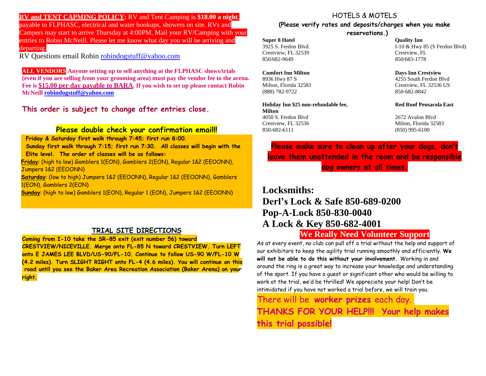**RV and TENT CAPMING POLICY:** RV and Tent Camping is **\$18.00 a night**, payable to FLPHASC, electrical and water hookups, showers on site. RVs and Campers may start to arrive Thursday at 4:00PM. Mail your RV/Camping with your entries to Robin McNeill. Please let me know what day you will be arriving and departing.

RV Questions email Robin [robindogstuff@yahoo.com](mailto:robindogstuff@yahoo.com)

**ALL VENDORS Anyone setting up to sell anything at the FLPHASC shows/trials (even if you are selling from your grooming area) must pay the vendor fee to the arena. Fee is \$15.00 per day payable to BARA. If you wish to set up please contact Robin McNeill [robindogstuff@yahoo.com](mailto:robindogstuff@yahoo.com)**

**This order is subject to change after entries close.**

### **Please double check your confirmation email!!**

Sunday first walk through 7:15; first run 7:30. All classes will begin with the Elite level. The order of classes will be as follows: **Friday & Saturday first walk through 7:45; first run 8:00.** 

. **Friday**: (high to low) Gamblers 1(EON), Gamblers 2(EON), Regular 1&2 (EEOONN), Jumpers 1&2 (EEOONN)

**Saturday**: (low to high) Jumpers 1&2 (EEOONN), Regular 1&2 (EEOONN), Gamblers 1(EON), Gamblers 2(EON)

**Sunday**: (high to low) Gamblers 1(EON), Regular 1 (EON), Jumpers 1&2 (EEOONN)

### **TRIAL SITE DIRECTIONS**

**Coming from I-10 take the SR-85 exit (exit number 56) toward CRESTVIEW/NICEVILLE. Merge onto FL-85 N toward CRESTVIEW. Turn LEFT onto E JAMES LEE BLVD/US-90/FL-10. Continue to follow US-90 W/FL-10 W (4.2 miles). Turn SLIGHT RIGHT onto FL-4 (4.6 miles). You will continue on this road until you see the Baker Area Recreation Association (Baker Arena) on your right.**

## HOTELS & MOTELS **(Please verify rates and deposits/charges when you make**

**reservations.)**

**Super 8 Hotel Quality Inn** Crestview, FL 32539 Crestview, FL 850/682-9649 850/683-1778

**Comfort Inn Milton Days Inn Crestview** (888) 782-9722 850-682-8842

**Holiday Inn \$25 non-refundable fee, Red Roof Pensacola East Milton** 4050 S. Ferdon Blvd 2672 Avalon Blvd Crestview, FL 32536 Milton, Florida 32583 850-682-6111 (850) 995-6100

3925 S. Ferdon Blvd. I-10 & Hwy 85 (S Ferdon Blvd)

8936 Hwy 87 S 4255 South Ferdon Blvd Milton, Florida 32583 Crestview, FL 32536 US

**Please make sure to clean up after your dogs, don't leave them unattended in the room and be responsible dog owners at all times.**

**Locksmiths: Derl's Lock & Safe 850-689-0200 Pop-A-Lock 850-830-0040 A Lock & Key 850-682-4001**

# **We Really Need Volunteer Support**

As at every event, no club can pull off a trial without the help and support of our exhibitors to keep the agility trial running smoothly and efficiently. **We will not be able to do this without your involvement.** Working in and around the ring is a great way to increase your knowledge and understanding of the sport. If you have a guest or significant other who would be willing to work at the trial, we'd be thrilled! We appreciate your help! Don't be intimidated if you have not worked a trial before, we will train you.

There will be **worker prizes** each day. **THANKS FOR YOUR HELP!!! Your help makes this trial possible!**